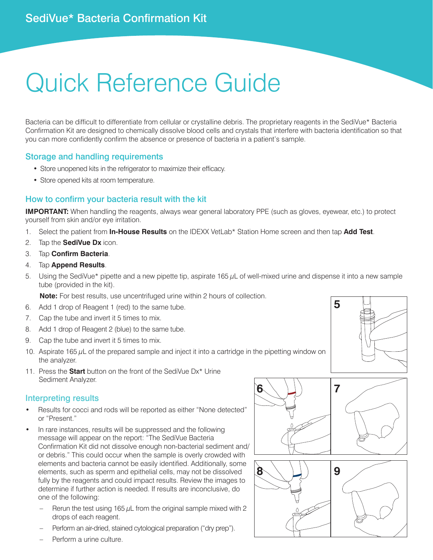# Quick Reference Guide

Bacteria can be difficult to differentiate from cellular or crystalline debris. The proprietary reagents in the SediVue\* Bacteria Confirmation Kit are designed to chemically dissolve blood cells and crystals that interfere with bacteria identification so that you can more confidently confirm the absence or presence of bacteria in a patient's sample.

#### Storage and handling requirements

- Store unopened kits in the refrigerator to maximize their efficacy.
- Store opened kits at room temperature.

#### How to confirm your bacteria result with the kit

**IMPORTANT:** When handling the reagents, always wear general laboratory PPE (such as gloves, eyewear, etc.) to protect yourself from skin and/or eye irritation.

- 1. Select the patient from **In-House Results** on the IDEXX VetLab\* Station Home screen and then tap **Add Test**.
- 2. Tap the **SediVue Dx** icon.
- 3. Tap **Confirm Bacteria**.
- 4. Tap **Append Results**.
- 5. Using the SediVue\* pipette and a new pipette tip, aspirate 165  $\mu$ L of well-mixed urine and dispense it into a new sample tube (provided in the kit).

**Note:** For best results, use uncentrifuged urine within 2 hours of collection.

- 6. Add 1 drop of Reagent 1 (red) to the same tube.
- 7. Cap the tube and invert it 5 times to mix.
- 8. Add 1 drop of Reagent 2 (blue) to the same tube.
- 9. Cap the tube and invert it 5 times to mix.
- 10. Aspirate 165  $\mu$ L of the prepared sample and inject it into a cartridge in the pipetting window on the analyzer.
- 11. Press the **Start** button on the front of the SediVue Dx\* Urine Sediment Analyzer.

### Interpreting results

- Results for cocci and rods will be reported as either "None detected" or "Present."
- In rare instances, results will be suppressed and the following message will appear on the report: "The SediVue Bacteria Confirmation Kit did not dissolve enough non-bacterial sediment and/ or debris." This could occur when the sample is overly crowded with elements and bacteria cannot be easily identified. Additionally, some elements, such as sperm and epithelial cells, may not be dissolved fully by the reagents and could impact results. Review the images to determine if further action is needed. If results are inconclusive, do one of the following:
	- Rerun the test using 165  $\mu$ L from the original sample mixed with 2 drops of each reagent.
	- Perform an air-dried, stained cytological preparation ("dry prep").
	- Perform a urine culture.